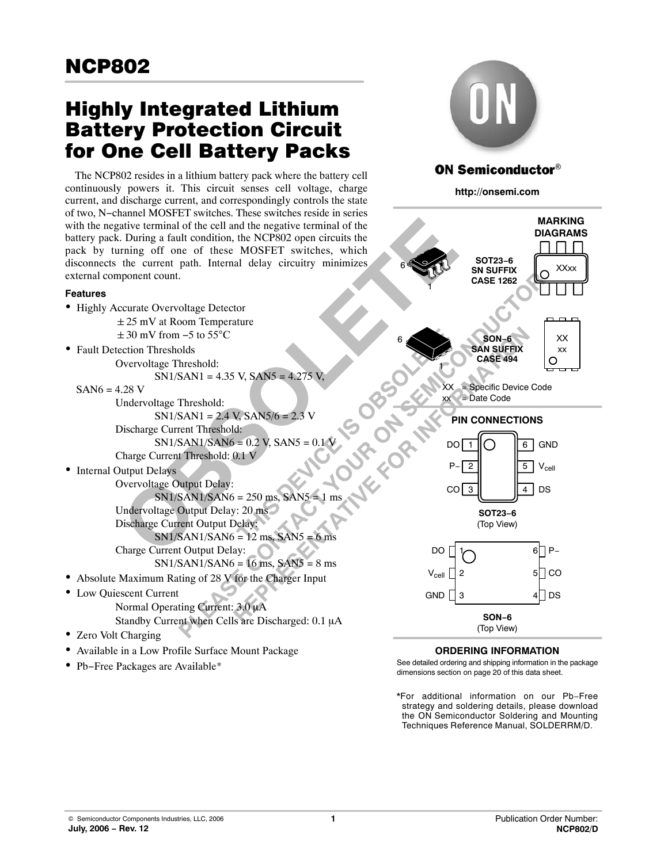# Highly Integrated Lithium Battery Protection Circuit for One Cell Battery Packs

The NCP802 resides in a lithium battery pack where the battery cell continuously powers it. This circuit senses cell voltage, charge current, and discharge current, and correspondingly controls the state of two, N−channel MOSFET switches. These switches reside in series with the negative terminal of the cell and the negative terminal of the battery pack. During a fault condition, the NCP802 open circuits the pack by turning off one of these MOSFET switches, which disconnects the current path. Internal delay circuitry minimizes external component count.

### **Features**

- Highly Accurate Overvoltage Detector -25 mV at Room Temperature  $\pm 30$  mV from -5 to 55 $^{\circ}$ C
- Fault Detection Thresholds Overvoltage Threshold:  $SN1/SAN1 = 4.35$  V,  $SAN5 = 4.275$  V.

 $SAN6 = 4.28$  V

Undervoltage Threshold:  $SN1/SAN1 = 2.4$  V,  $SAN5/6 = 2.3$  V Discharge Current Threshold:  $SN1/SAN1/SAN6 = 0.2 V, SAN5 = 0.1 V$ Charge Current Threshold: 0.1 V

• Internal Output Delays

- Overvoltage Output Delay: Example 250 ms, SANS = 1 ms  $\frac{1}{2}$  Minister ON Minister SN1/SAN1/SAN6 = 250 ms, SAN5 = 1 ms Undervoltage Output Delay: 20 ms Discharge Current Output Delay:  $SN1/SAN1/SAN6 = 12$  ms,  $SAN5 = 6$  ms Charge Current Output Delay:  $SN1/SAN1/SAN6 = 16$  ms,  $SAN5 = 8$  ms
- Absolute Maximum Rating of 28 V for the Charger Input
- Low Quiescent Current Normal Operating Current: 3.0 µA Standby Current when Cells are Discharged: 0.1 µA
- Zero Volt Charging
- Available in a Low Profile Surface Mount Package
- Pb−Free Packages are Available\*



# **ON Semiconductor®**

**http://onsemi.com**



### **ORDERING INFORMATION**

See detailed ordering and shipping information in the package dimensions section on page [20 of this data sheet.](#page-19-0)

\*For additional information on our Pb−Free strategy and soldering details, please download the ON Semiconductor Soldering and Mounting Techniques Reference Manual, SOLDERRM/D.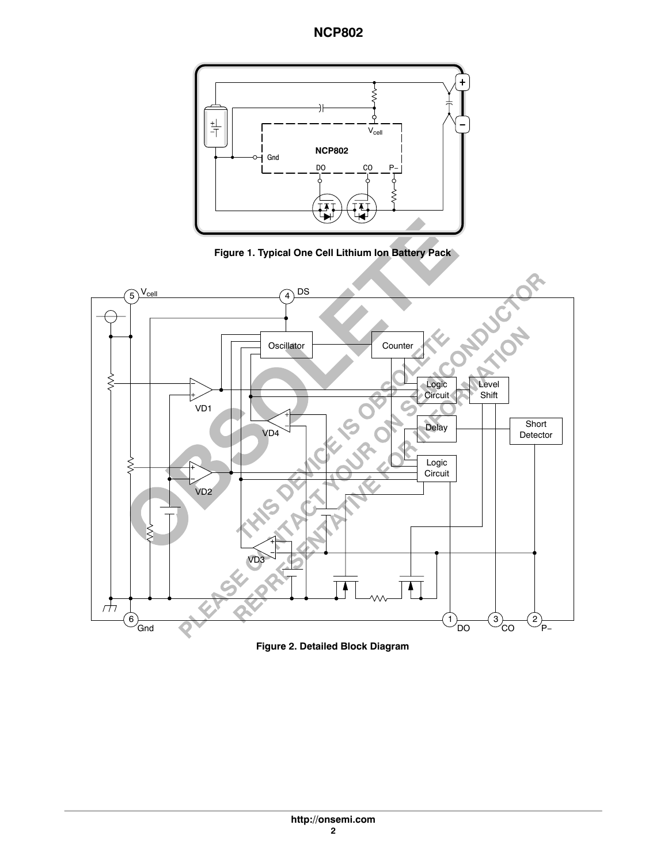

**Figure 1. Typical One Cell Lithium Ion Battery Pack**



**Figure 2. Detailed Block Diagram**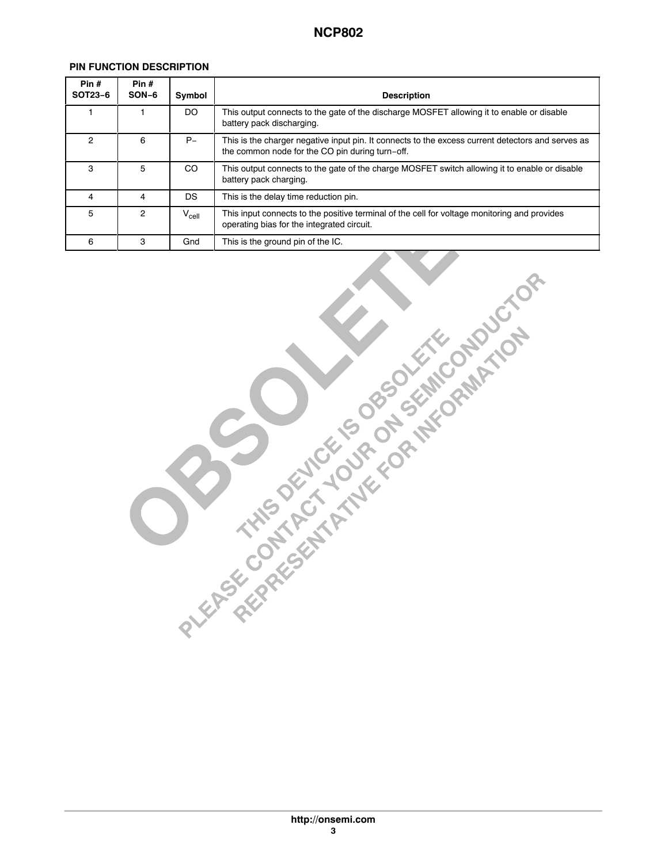### **PIN FUNCTION DESCRIPTION**

| Pin $#$<br>SOT23-6 | Pin#<br>SON-6 | Symbol     | <b>Description</b>                                                                                                                                   |
|--------------------|---------------|------------|------------------------------------------------------------------------------------------------------------------------------------------------------|
|                    |               | DO         | This output connects to the gate of the discharge MOSFET allowing it to enable or disable<br>battery pack discharging.                               |
| 2                  | 6             | $P-$       | This is the charger negative input pin. It connects to the excess current detectors and serves as<br>the common node for the CO pin during turn-off. |
| з                  | Ð             | CO         | This output connects to the gate of the charge MOSFET switch allowing it to enable or disable<br>battery pack charging.                              |
|                    |               | DS         | This is the delay time reduction pin.                                                                                                                |
| 5                  | 2             | $V_{cell}$ | This input connects to the positive terminal of the cell for voltage monitoring and provides<br>operating bias for the integrated circuit.           |
| 6                  | 3             | Gnd        | This is the ground pin of the IC.                                                                                                                    |

Á A 1990-ben a szerepelt a települészetett a között a települészetett a között a települészetett a között a kö

ÁÁÁÁÁÁÁÁÁÁÁÁÁÁÁÁÁÁÁÁÁÁÁÁ

ÁÁ<del>LA 1999-ben 1999-ben 1999-ben 1999-ben 1999-ben 1999-ben 1999-ben 1999-ben 1999-ben 1999-ben 1999-ben 1999-ben 199</del>

ÁÁ<del>LA 1999-ben 1999-ben 1999-ben 1999-ben 1999-ben 1999-ben 1999-ben 1999-ben 1999-ben 1999-ben 1999-ben 1999-b</del>

| RIVERS CONTACT TO DESCRIPTION OF DEVICTOR |  |  |
|-------------------------------------------|--|--|
|                                           |  |  |
|                                           |  |  |
|                                           |  |  |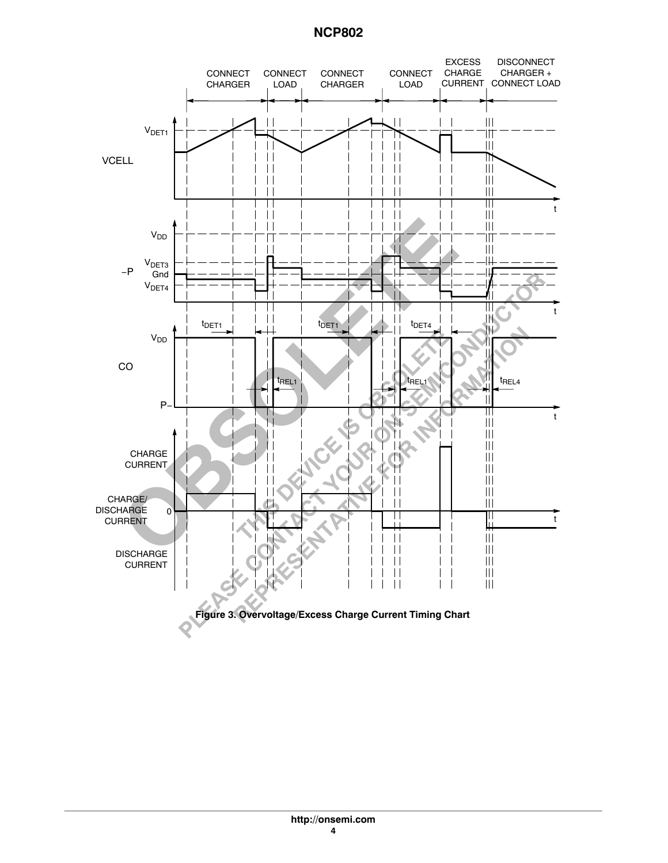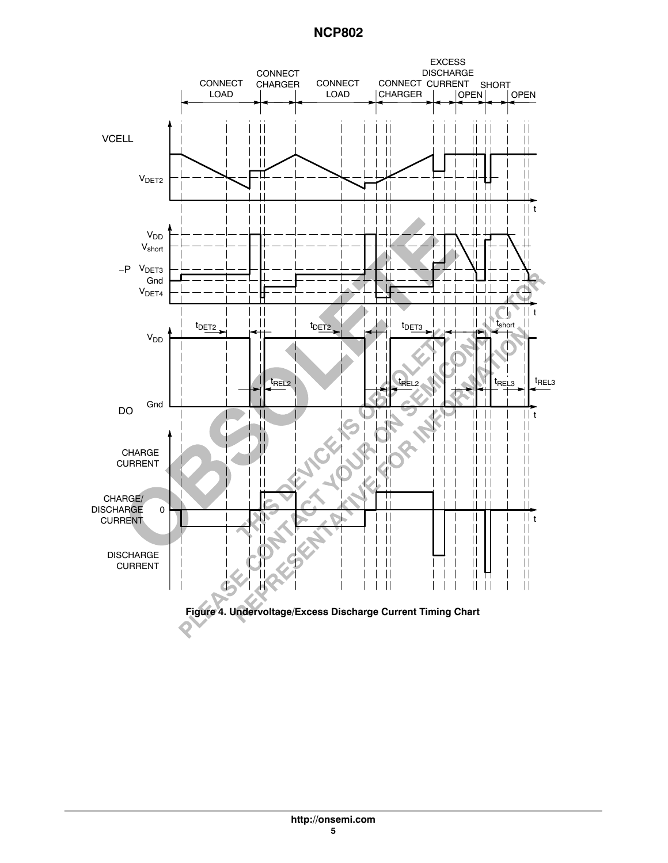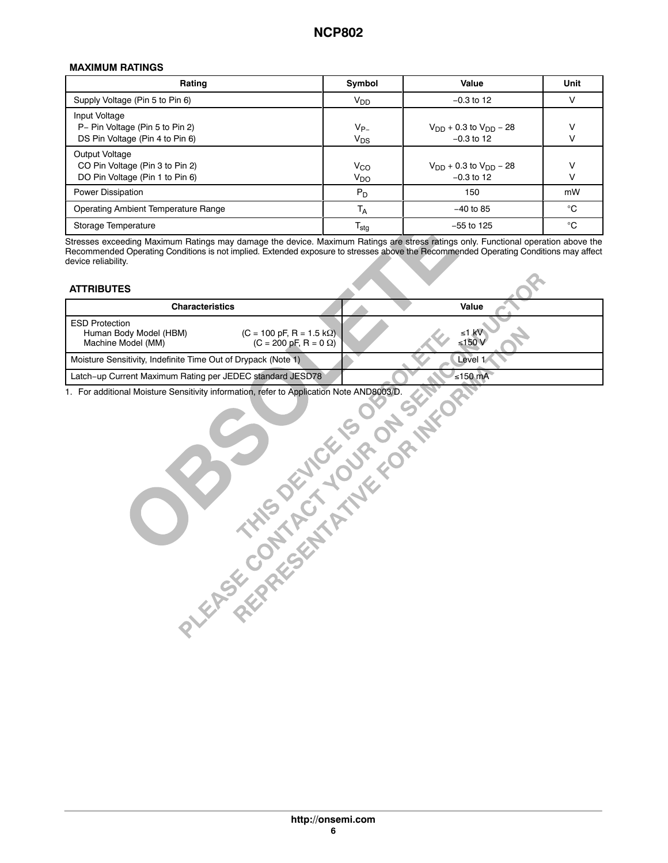### **MAXIMUM RATINGS**

| <b>Rating</b>                                                                        | Symbol                      | Value                                           | <b>Unit</b>  |
|--------------------------------------------------------------------------------------|-----------------------------|-------------------------------------------------|--------------|
| Supply Voltage (Pin 5 to Pin 6)                                                      | $V_{DD}$                    | $-0.3$ to 12                                    |              |
| Input Voltage<br>P- Pin Voltage (Pin 5 to Pin 2)<br>DS Pin Voltage (Pin 4 to Pin 6)  | $V_{P-}$<br>$V_{DS}$        | $V_{DD}$ + 0.3 to $V_{DD}$ – 28<br>$-0.3$ to 12 |              |
| Output Voltage<br>CO Pin Voltage (Pin 3 to Pin 2)<br>DO Pin Voltage (Pin 1 to Pin 6) | $V_{CO}$<br>V <sub>DO</sub> | $V_{DD}$ + 0.3 to $V_{DD}$ – 28<br>$-0.3$ to 12 |              |
| Power Dissipation                                                                    | $P_D$                       | 150                                             | mW           |
| Operating Ambient Temperature Range                                                  | T <sub>A</sub>              | $-40$ to 85                                     | $^{\circ}$ C |
| <b>Storage Temperature</b>                                                           | l <sub>stg</sub>            | $-55$ to 125                                    | °C           |

Á<del>LÁ ÁLÁN KELEL KELEL KELEL KELEL KELEL KELEL KELEL KELEL KELEL KELEL KELEL KELEL KELEL KELEL KELEL KELEL KELEL KELEL KELEL KELEL KELEL KELEL KELEL KELEL KELEL KELEL KELEL KELEL KELEL KELEL KELEL KELEL KELEL KELEL KELEL KE</del> Recommended Operating Conditions is not implied. Extended exposure to stresses above the Recommended Operating Conditions may affect Stresses exceeding Maximum Ratings may damage the device. Maximum Ratings are stress ratings only. Functional operation above the device reliability.

Á<del>LA A LA CARACTER COM A LA CARACTER COM A LA CARACTER COM A LA CARACTER COM A LA CARACTER COM A LA CARACTER COM</del>

Á<del>LÁN KELEMÉLET ELET ELETT</del>E ELETEZETE ELETEZETE ELETEZETE ELETEZETE ELETEZETE ELETEZETE ELETEZETE ELETEZETE ELE

<u>A sama salah sahiji désa di kacamatan Salah Salah Salah Salah Salah Salah Salah Salah Salah Salah Salah Salah Sa</u>

#### **ATTRIBUTES**

| __________                                                                                                                                                       |                 |
|------------------------------------------------------------------------------------------------------------------------------------------------------------------|-----------------|
| <b>Characteristics</b>                                                                                                                                           | Value           |
| <b>ESD Protection</b><br>$(C = 100 \text{ pF}, R = 1.5 \text{ k}\Omega)$<br>Human Body Model (HBM)<br>$(C = 200 \text{ pF}, R = 0 \Omega)$<br>Machine Model (MM) | ≤1 kV<br>≤150 \ |
| Moisture Sensitivity, Indefinite Time Out of Drypack (Note 1)                                                                                                    | Level 1         |
| Latch-up Current Maximum Rating per JEDEC standard JESD78                                                                                                        | ≤150 $mA$       |

1. For additional Moisture Sensitivity information, refer to Application Note AND8003/D.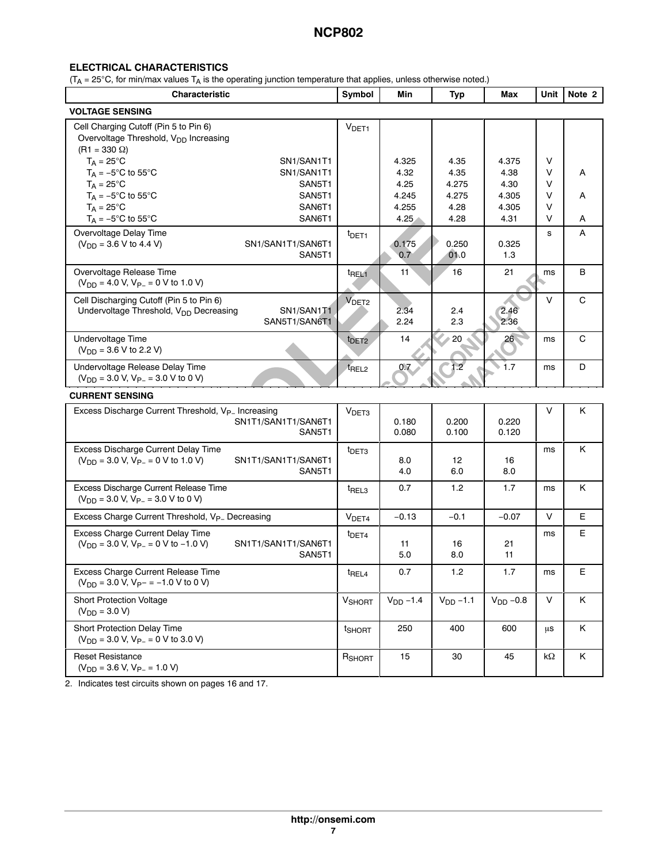### **ELECTRICAL CHARACTERISTICS**

 $(T_A = 25^{\circ}$ C, for min/max values  $T_A$  is the operating junction temperature that applies, unless otherwise noted.)

| <b>Characteristic</b>                                                                                                     |                                      | Symbol              | Min                            | <b>Typ</b>                     | Max                            |                                 | Unit Note 2 |
|---------------------------------------------------------------------------------------------------------------------------|--------------------------------------|---------------------|--------------------------------|--------------------------------|--------------------------------|---------------------------------|-------------|
| <b>VOLTAGE SENSING</b>                                                                                                    |                                      |                     |                                |                                |                                |                                 |             |
| Cell Charging Cutoff (Pin 5 to Pin 6)<br>Overvoltage Threshold, V <sub>DD</sub> Increasing<br>$(R1 = 330 \Omega)$         |                                      | V <sub>DET1</sub>   |                                |                                |                                |                                 |             |
| $T_A = 25^{\circ}C$<br>$T_A = -5$ °C to 55°C                                                                              | SN1/SAN1T1<br>SN1/SAN1T1             |                     | 4.325<br>4.32                  | 4.35<br>4.35                   | 4.375<br>4.38                  | $\vee$<br>$\vee$                | A           |
| $T_A = 25^{\circ}$ C<br>$T_A = -5^\circ \text{C}$ to 55 $^\circ \text{C}$<br>$T_A = 25^{\circ}C$<br>$T_A = -5$ °C to 55°C | SAN5T1<br>SAN5T1<br>SAN6T1<br>SAN6T1 |                     | 4.25<br>4.245<br>4.255<br>4.25 | 4.275<br>4.275<br>4.28<br>4.28 | 4.30<br>4.305<br>4.305<br>4.31 | $\vee$<br>V<br>$\vee$<br>$\vee$ | A<br>A      |
| Overvoltage Delay Time<br>$(V_{DD} = 3.6 V to 4.4 V)$                                                                     | SN1/SAN1T1/SAN6T1<br>SAN5T1          | t <sub>DET1</sub>   | 0.175<br>0.7                   | 0.250<br>01.0                  | 0.325<br>1.3                   | s                               | A           |
| Overvoltage Release Time<br>$(V_{DD} = 4.0 V, V_{P-} = 0 V$ to 1.0 V)                                                     |                                      | t <sub>REL1</sub>   | 11                             | 16                             | 21                             | ms                              | B           |
| Cell Discharging Cutoff (Pin 5 to Pin 6)<br>Undervoltage Threshold, V <sub>DD</sub> Decreasing                            | SN1/SAN1T1<br>SAN5T1/SAN6T1          | V <sub>DET2</sub>   | 2.34<br>2.24                   | 2.4<br>2.3                     | 2.46<br>2.36                   | V                               | C           |
| Undervoltage Time<br>$(V_{DD} = 3.6 V to 2.2 V)$                                                                          |                                      | $t$ DET2            | 14                             | 20                             | 26 <sup>2</sup>                | ms                              | C           |
| Undervoltage Release Delay Time<br>$(V_{DD} = 3.0 V, V_{P-} = 3.0 V$ to 0 V)                                              |                                      | t <sub>REL2</sub>   | 0.7                            | 1.2                            | $\rightarrow$ 1.7              | ms                              | D           |
| <b>CURRENT SENSING</b>                                                                                                    |                                      |                     |                                |                                |                                |                                 |             |
| Excess Discharge Current Threshold, V <sub>P-</sub> Increasing                                                            | SN1T1/SAN1T1/SAN6T1<br>SAN5T1        | V <sub>DET3</sub>   | 0.180<br>0.080                 | 0.200<br>0.100                 | 0.220<br>0.120                 | $\vee$                          | Κ           |
| Excess Discharge Current Delay Time<br>$(V_{DD} = 3.0 V, V_{P-} = 0 V$ to 1.0 V)                                          | SN1T1/SAN1T1/SAN6T1<br>SAN5T1        | t <sub>DET3</sub>   | 8.0<br>4.0                     | 12<br>6.0                      | 16<br>8.0                      | ms                              | Κ           |
| Excess Discharge Current Release Time<br>$(V_{DD} = 3.0 V, V_{P-} = 3.0 V to 0 V)$                                        |                                      | $t$ REL3            | 0.7                            | 1.2                            | 1.7                            | ms                              | Κ           |
| Excess Charge Current Threshold, V <sub>P-</sub> Decreasing                                                               |                                      | V <sub>DET4</sub>   | $-0.13$                        | $-0.1$                         | $-0.07$                        | $\vee$                          | E           |
| Excess Charge Current Delay Time<br>$(V_{DD} = 3.0 V, V_{P-} = 0 V to -1.0 V)$                                            | SN1T1/SAN1T1/SAN6T1<br>SAN5T1        | t <sub>DET4</sub>   | 11<br>5.0                      | 16<br>8.0                      | 21<br>11                       | ms                              | E           |
| Excess Charge Current Release Time<br>$(V_{DD} = 3.0 V, V_{P^-} = -1.0 V to 0 V)$                                         |                                      | $t$ <sub>REL4</sub> | 0.7                            | 1.2                            | 1.7                            | ms                              | E           |
| <b>Short Protection Voltage</b><br>$(V_{DD} = 3.0 V)$                                                                     |                                      | <b>V</b> SHORT      | $V_{DD} - 1.4$                 | $V_{DD} - 1.1$                 | $V_{DD}$ -0.8                  | $\vee$                          | Κ           |
| Short Protection Delay Time<br>$(V_{DD} = 3.0 V, V_{P-} = 0 V$ to 3.0 V)                                                  |                                      | t <sub>SHORT</sub>  | 250                            | 400                            | 600                            | us                              | K           |
| <b>Reset Resistance</b><br>$(V_{DD} = 3.6 V, V_{P-} = 1.0 V)$                                                             |                                      | RSHORT              | 15                             | 30                             | 45                             | $k\Omega$                       | K           |

2. Indicates test circuits shown on pages [16](#page-15-0) and [17.](#page-16-0)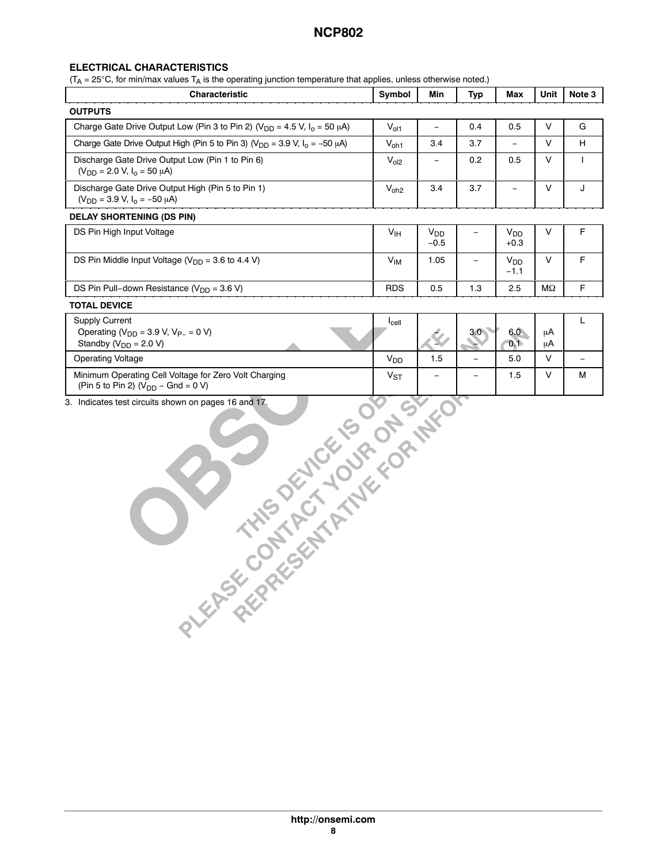### **ELECTRICAL CHARACTERISTICS**

 $(T_A = 25^\circ \text{C}$ , for min/max values  $T_A$  is the operating junction temperature that applies, unless otherwise noted.)

| <b>Characteristic</b>                                                                    | Symbol           | Min                             | <b>Typ</b> | Max                             | Unit          | Note 3 |
|------------------------------------------------------------------------------------------|------------------|---------------------------------|------------|---------------------------------|---------------|--------|
| <b>OUTPUTS</b>                                                                           |                  |                                 |            |                                 |               |        |
| Charge Gate Drive Output Low (Pin 3 to Pin 2) ( $V_{DD} = 4.5$ V, $I_0 = 50 \mu A$ )     | $V_{ol1}$        | $\qquad \qquad =$               | 0.4        | 0.5                             |               | G      |
| Charge Gate Drive Output High (Pin 5 to Pin 3) ( $V_{DD}$ = 3.9 V, $I_0$ = -50 $\mu$ A)  | $V_{oh1}$        | 3.4                             | 3.7        | $-$                             | $\vee$        | н      |
| Discharge Gate Drive Output Low (Pin 1 to Pin 6)<br>$(V_{DD} = 2.0 V, I_0 = 50 \mu A)$   | V <sub>ol2</sub> | $\equiv$                        | 0.2        | 0.5                             |               |        |
| Discharge Gate Drive Output High (Pin 5 to Pin 1)<br>$(V_{DD} = 3.9 V, I_o = -50 \mu A)$ | $V_{oh2}$        | 3.4                             | 3.7        | $\overline{\phantom{0}}$        | $\mathcal{U}$ |        |
| <b>DELAY SHORTENING (DS PIN)</b>                                                         |                  |                                 |            |                                 |               |        |
| DS Pin High Input Voltage                                                                | V <sub>IH</sub>  | <b>V<sub>DD</sub></b><br>$-0.5$ | $-$        | <b>V<sub>DD</sub></b><br>$+0.3$ |               | F.     |
| DS Pin Middle Input Voltage ( $V_{DD}$ = 3.6 to 4.4 V)                                   | $V_{IM}$         | 1.05                            | $-$        | V <sub>DD</sub><br>$-1.1$       | $\mathsf{V}$  | F      |
| DS Pin Pull-down Resistance ( $V_{DD}$ = 3.6 V)                                          | <b>RDS</b>       | 0.5                             | 1.3        | 2.5                             | ΜΩ            | F.     |
| <b>TOTAL DEVICE</b>                                                                      |                  |                                 |            |                                 |               |        |
| <b>Supply Current</b>                                                                    | $I_{cell}$       |                                 |            |                                 |               |        |

| Supply Current<br>Operating ( $V_{DD}$ = 3.9 V, $V_{P-}$ = 0 V)<br>Standby ( $V_{DD}$ = 2.0 V)    | $I_{cell}$               | $\Delta \mathscr{L}$ | 3.0 <sub>0</sub> | 6.0<br>0.1 | uA | – |  |
|---------------------------------------------------------------------------------------------------|--------------------------|----------------------|------------------|------------|----|---|--|
| <b>Operating Voltage</b>                                                                          | $V_{DD}$                 | . . ت                | -                | 5.0        | uΑ |   |  |
| Minimum Operating Cell Voltage for Zero Volt Charging<br>(Pin 5 to Pin 2) ( $V_{DD}$ – Gnd = 0 V) | $\mathsf{v}_\mathsf{ST}$ | -                    | -                | ∣.5        |    | М |  |

Á<del>LA 2000-ban az Elektron között</del>ette a története a története a története a története a története a története a tör

ÁÁÁÁ

Á A 1990-ben a szerint a szerint a szerint a szerint a szerint a szerint a szerint a szerint a szerint a szeri

ÁÁÁÁÁÁÁÁÁÁÁÁÁÁÁÁÁÁÁÁ 3. Indicates test circuits shown on pages [16](#page-15-0) and [17.](#page-16-0)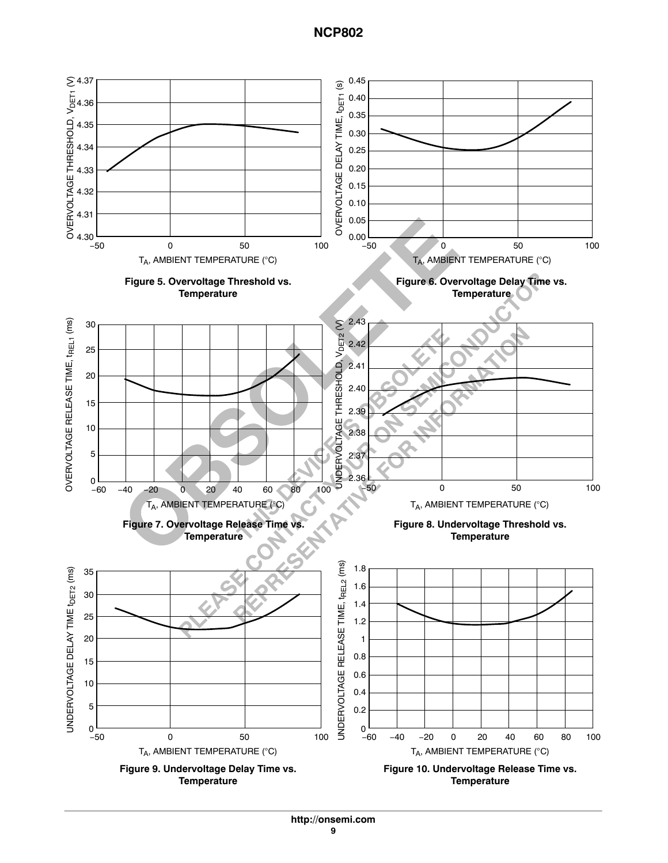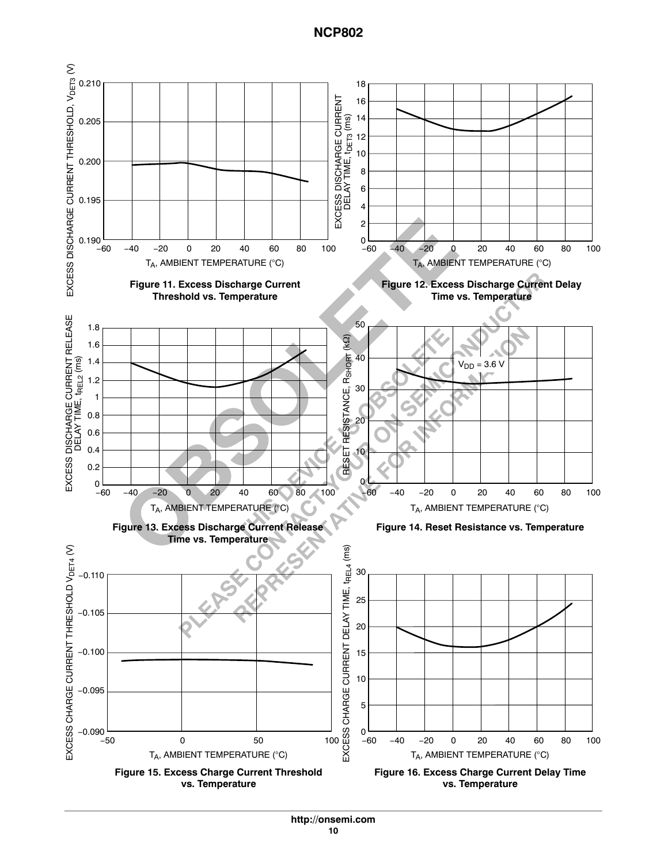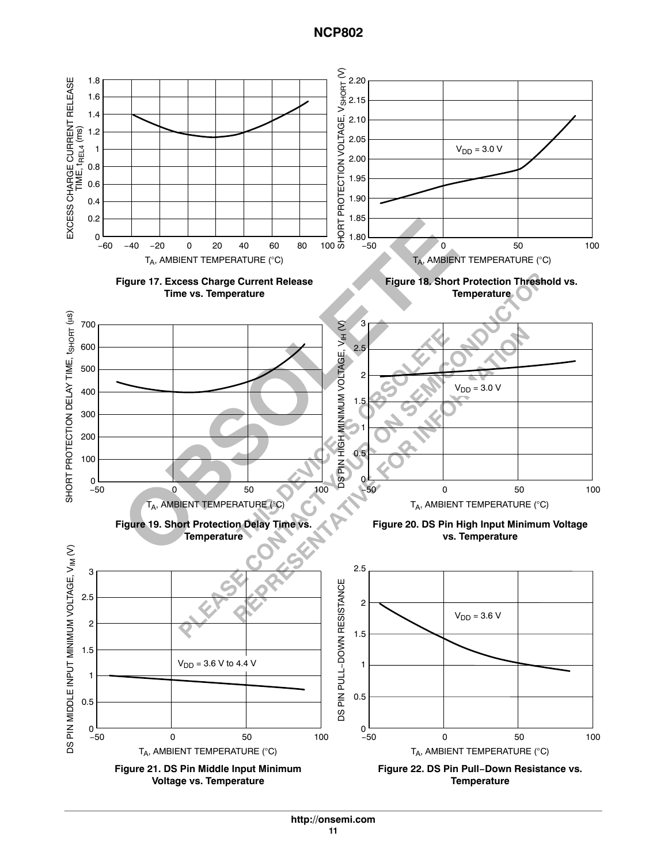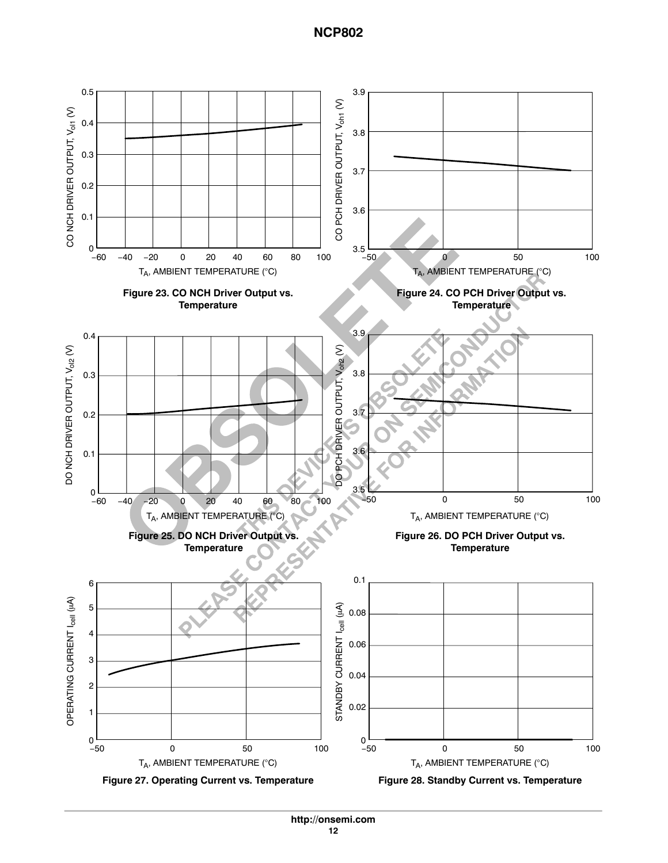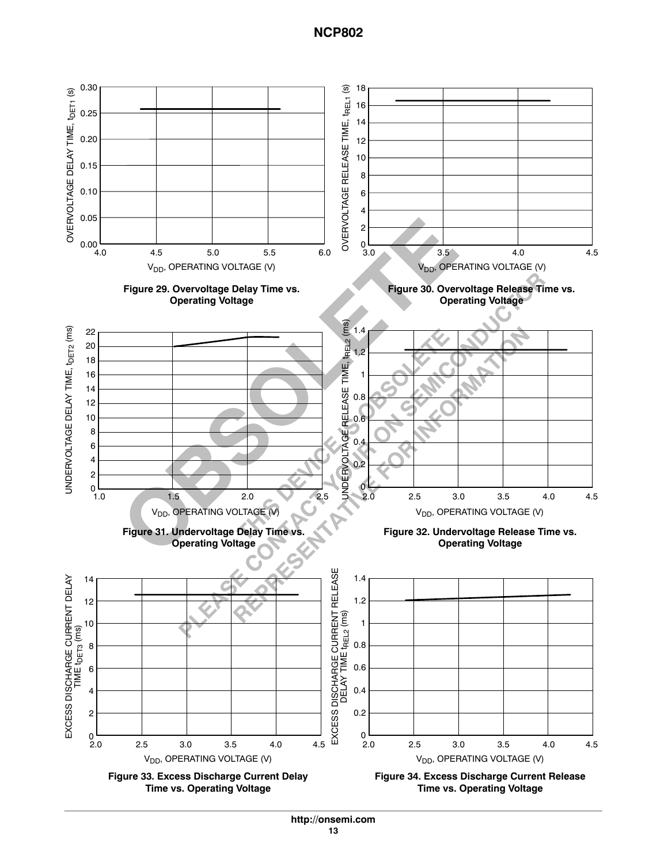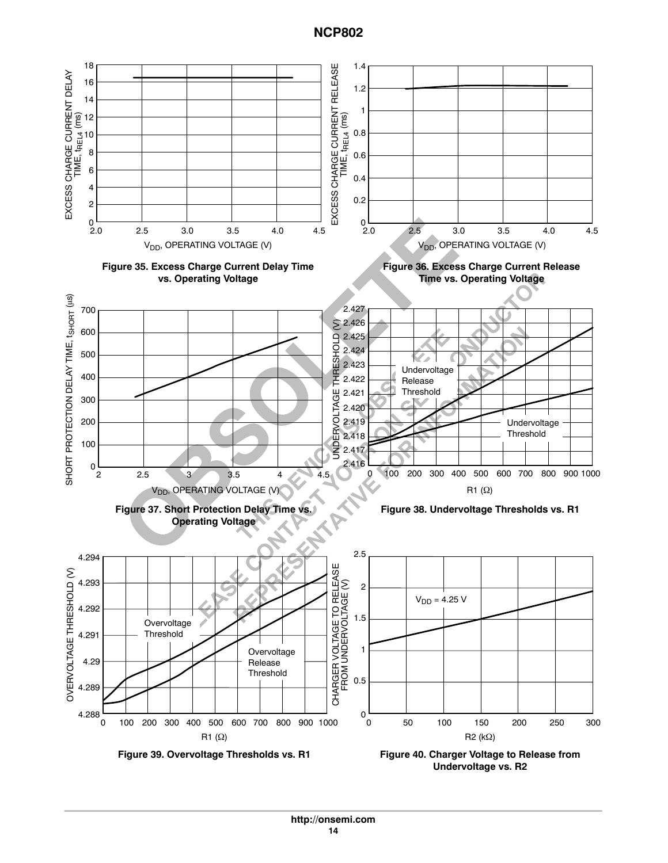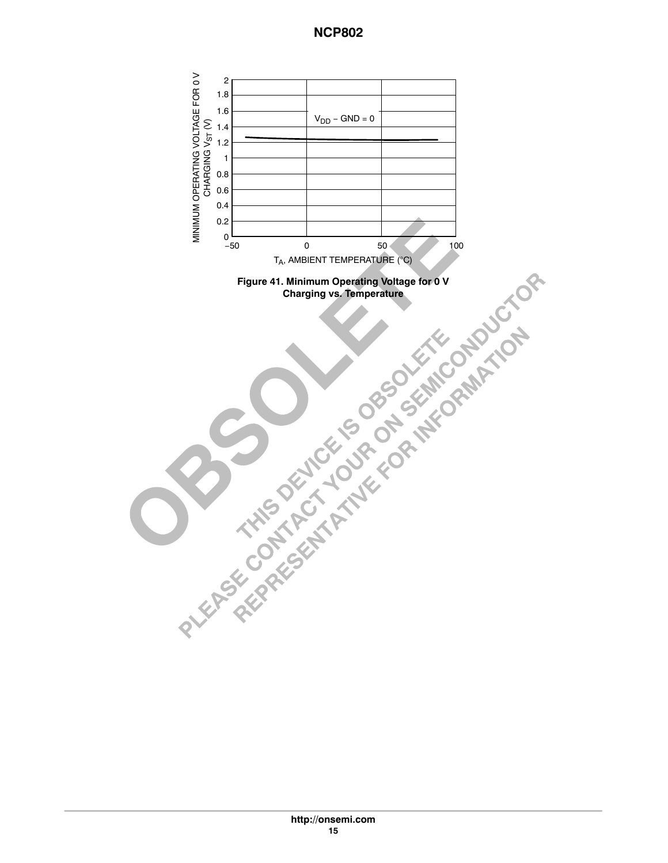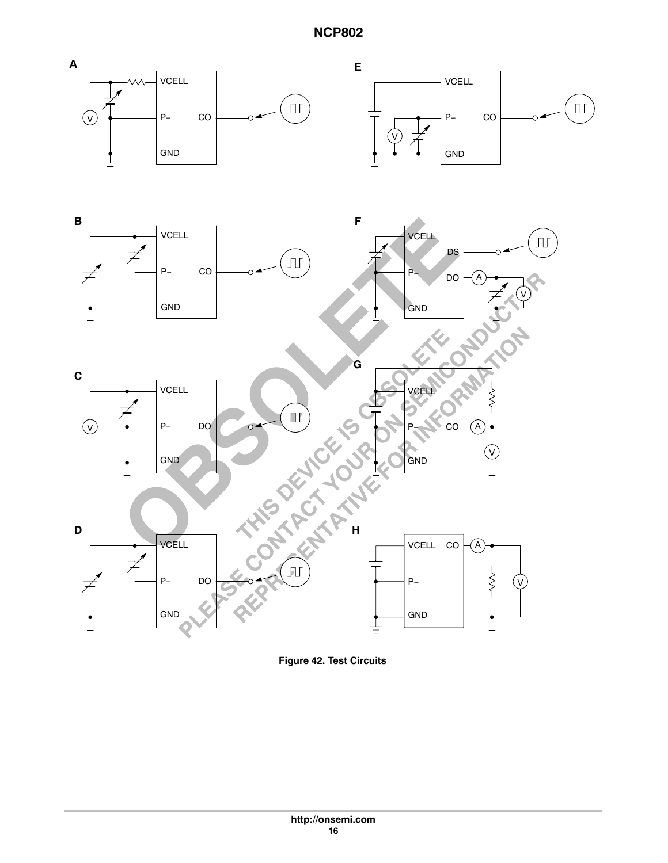<span id="page-15-0"></span>

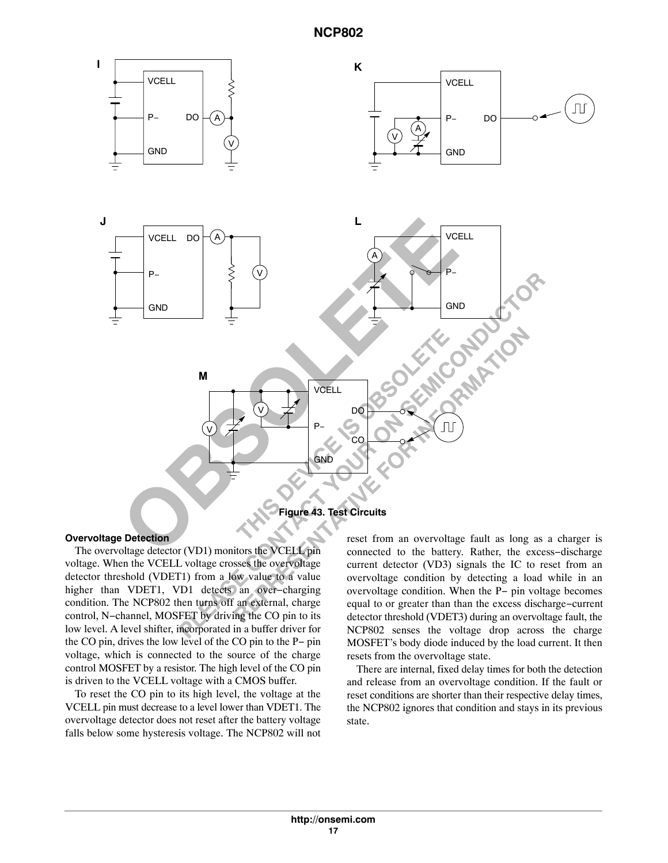<span id="page-16-0"></span>

#### **Overvoltage Detection**

The overvoltage detector (VD1) monitors the VCELL pin voltage. When the VCELL voltage crosses the overvoltage detector threshold (VDET1) from a low value to a value higher than VDET1, VD1 detects an over−charging condition. The NCP802 then turns off an external, charge control, N−channel, MOSFET by driving the CO pin to its low level. A level shifter, incorporated in a buffer driver for the CO pin, drives the low level of the CO pin to the P− pin voltage, which is connected to the source of the charge control MOSFET by a resistor. The high level of the CO pin is driven to the VCELL voltage with a CMOS buffer.

To reset the CO pin to its high level, the voltage at the VCELL pin must decrease to a level lower than VDET1. The overvoltage detector does not reset after the battery voltage falls below some hysteresis voltage. The NCP802 will not reset from an overvoltage fault as long as a charger is connected to the battery. Rather, the excess−discharge current detector (VD3) signals the IC to reset from an overvoltage condition by detecting a load while in an overvoltage condition. When the P− pin voltage becomes equal to or greater than than the excess discharge−current detector threshold (VDET3) during an overvoltage fault, the NCP802 senses the voltage drop across the charge MOSFET's body diode induced by the load current. It then resets from the overvoltage state.

There are internal, fixed delay times for both the detection and release from an overvoltage condition. If the fault or reset conditions are shorter than their respective delay times, the NCP802 ignores that condition and stays in its previous state.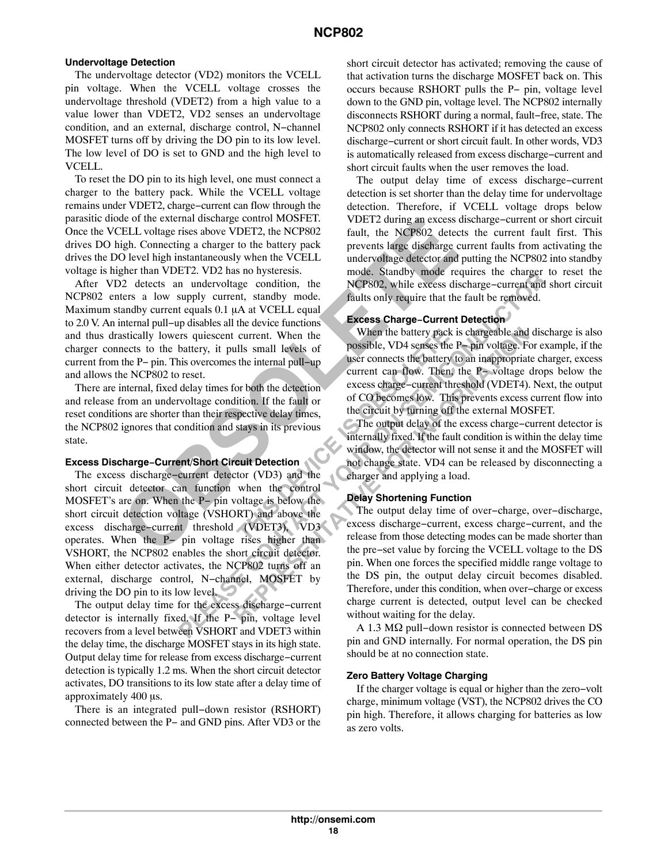#### **Undervoltage Detection**

The undervoltage detector (VD2) monitors the VCELL pin voltage. When the VCELL voltage crosses the undervoltage threshold (VDET2) from a high value to a value lower than VDET2, VD2 senses an undervoltage condition, and an external, discharge control, N−channel MOSFET turns off by driving the DO pin to its low level. The low level of DO is set to GND and the high level to VCELL.

To reset the DO pin to its high level, one must connect a charger to the battery pack. While the VCELL voltage remains under VDET2, charge−current can flow through the parasitic diode of the external discharge control MOSFET. Once the VCELL voltage rises above VDET2, the NCP802 drives DO high. Connecting a charger to the battery pack drives the DO level high instantaneously when the VCELL voltage is higher than VDET2. VD2 has no hysteresis.

After VD2 detects an undervoltage condition, the NCP802 enters a low supply current, standby mode. Maximum standby current equals 0.1 µA at VCELL equal to 2.0 V. An internal pull−up disables all the device functions and thus drastically lowers quiescent current. When the charger connects to the battery, it pulls small levels of current from the P− pin. This overcomes the internal pull−up and allows the NCP802 to reset.

There are internal, fixed delay times for both the detection and release from an undervoltage condition. If the fault or reset conditions are shorter than their respective delay times, the NCP802 ignores that condition and stays in its previous state.

#### **Excess Discharge−Current/Short Circuit Detection**

The excess discharge−current detector (VD3) and the short circuit detector can function when the control MOSFET's are on. When the P− pin voltage is below the short circuit detection voltage (VSHORT) and above the excess discharge−current threshold (VDET3), VD3 operates. When the P− pin voltage rises higher than VSHORT, the NCP802 enables the short circuit detector. When either detector activates, the NCP802 turns off an external, discharge control, N−channel, MOSFET by driving the DO pin to its low level.

The output delay time for the excess discharge−current detector is internally fixed. If the P− pin, voltage level recovers from a level between VSHORT and VDET3 within the delay time, the discharge MOSFET stays in its high state. Output delay time for release from excess discharge−current detection is typically 1.2 ms. When the short circuit detector activates, DO transitions to its low state after a delay time of approximately 400 µs.

There is an integrated pull−down resistor (RSHORT) connected between the P− and GND pins. After VD3 or the short circuit detector has activated; removing the cause of that activation turns the discharge MOSFET back on. This occurs because RSHORT pulls the P− pin, voltage level down to the GND pin, voltage level. The NCP802 internally disconnects RSHORT during a normal, fault−free, state. The NCP802 only connects RSHORT if it has detected an excess discharge−current or short circuit fault. In other words, VD3 is automatically released from excess discharge−current and short circuit faults when the user removes the load.

The output delay time of excess discharge−current detection is set shorter than the delay time for undervoltage detection. Therefore, if VCELL voltage drops below VDET2 during an excess discharge−current or short circuit fault, the NCP802 detects the current fault first. This prevents large discharge current faults from activating the undervoltage detector and putting the NCP802 into standby mode. Standby mode requires the charger to reset the NCP802, while excess discharge−current and short circuit faults only require that the fault be removed.

#### **Excess Charge−Current Detection**

When the battery pack is chargeable and discharge is also possible, VD4 senses the P− pin voltage. For example, if the user connects the battery to an inappropriate charger, excess current can flow. Then, the P− voltage drops below the excess charge−current threshold (VDET4). Next, the output of CO becomes low. This prevents excess current flow into the circuit by turning off the external MOSFET.

The output delay of the excess charge−current detector is internally fixed. If the fault condition is within the delay time window, the detector will not sense it and the MOSFET will not change state. VD4 can be released by disconnecting a charger and applying a load.

#### **Delay Shortening Function**

The output delay time of over−charge, over−discharge, excess discharge−current, excess charge−current, and the release from those detecting modes can be made shorter than the pre−set value by forcing the VCELL voltage to the DS pin. When one forces the specified middle range voltage to the DS pin, the output delay circuit becomes disabled. Therefore, under this condition, when over−charge or excess charge current is detected, output level can be checked without waiting for the delay.

A 1.3 MΩ pull–down resistor is connected between DS pin and GND internally. For normal operation, the DS pin should be at no connection state.

#### **Zero Battery Voltage Charging**

If the charger voltage is equal or higher than the zero−volt charge, minimum voltage (VST), the NCP802 drives the CO pin high. Therefore, it allows charging for batteries as low as zero volts.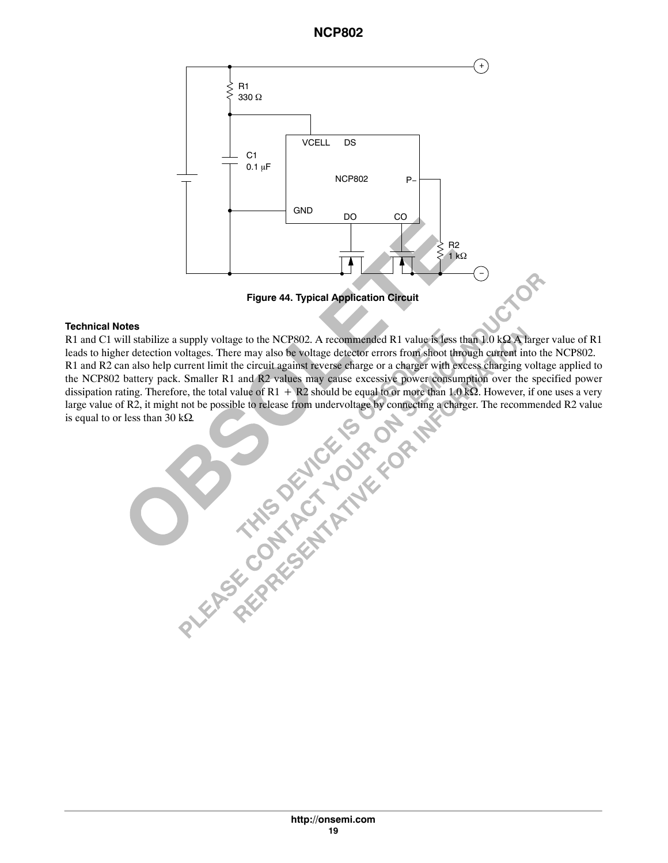

#### **Technical Notes**

R1 and C1 will stabilize a supply voltage to the NCP802. A recommended R1 value is less than 10 k BA larger value of R1.<br>
R1 and R2 can also help current limit the circuit against heverse charge or a charger with secess c leads to higher detection voltages. There may also be voltage detector errors from shoot through current into the NCP802. R1 and R2 can also help current limit the circuit against reverse charge or a charger with excess charging voltage applied to the NCP802 battery pack. Smaller R1 and R2 values may cause excessive power consumption over the specified power dissipation rating. Therefore, the total value of  $R1 + R2$  should be equal to or more than 1.0 k $\Omega$ . However, if one uses a very large value of R2, it might not be possible to release from undervoltage by connecting a charger. The recommended R2 value is equal to or less than 30 k $\Omega$ .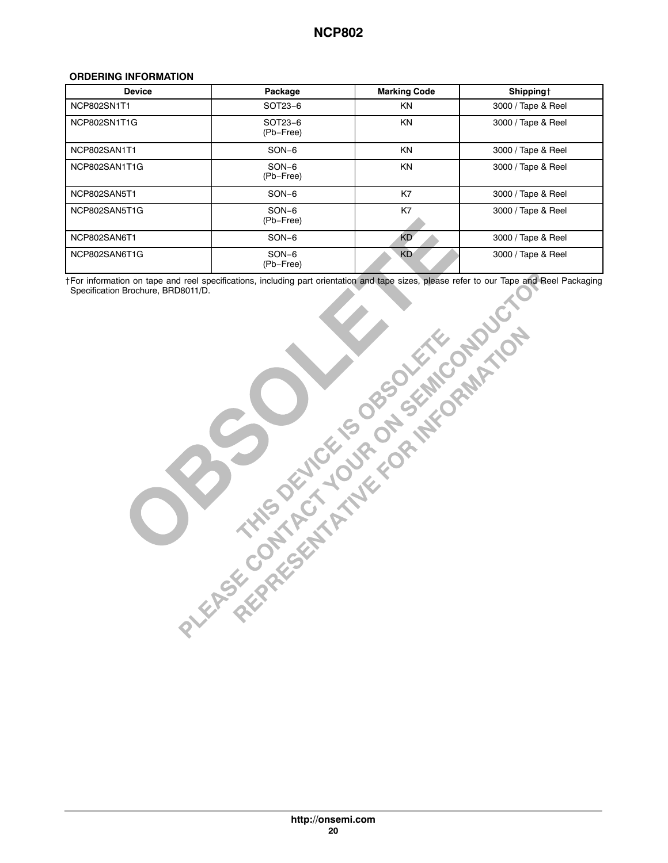#### <span id="page-19-0"></span>**ORDERING INFORMATION**

| <b>Device</b> | Package              | <b>Marking Code</b> | Shipping†          |  |  |
|---------------|----------------------|---------------------|--------------------|--|--|
| NCP802SN1T1   | SOT23-6              | ΚN                  | 3000 / Tape & Reel |  |  |
| NCP802SN1T1G  | SOT23-6<br>(Pb-Free) | <b>KN</b>           | 3000 / Tape & Reel |  |  |
| NCP802SAN1T1  | $SON-6$              | <b>KN</b>           | 3000 / Tape & Reel |  |  |
| NCP802SAN1T1G | $SON-6$<br>(Pb-Free) | <b>KN</b>           | 3000 / Tape & Reel |  |  |
| NCP802SAN5T1  | $SON-6$              | K7                  | 3000 / Tape & Reel |  |  |
| NCP802SAN5T1G | $SON-6$<br>(Pb-Free) | K7                  | 3000 / Tape & Reel |  |  |
| NCP802SAN6T1  | $SON-6$              | <b>KD</b>           | 3000 / Tape & Reel |  |  |
| NCP802SAN6T1G | $SON-6$<br>(Pb-Free) | <b>KD</b>           | 3000 / Tape & Reel |  |  |

†For information on tape and reel specifications, including part orientation and tape sizes, please refer to our Tape and Reel Packaging Specification Brochure, BRD8011/D.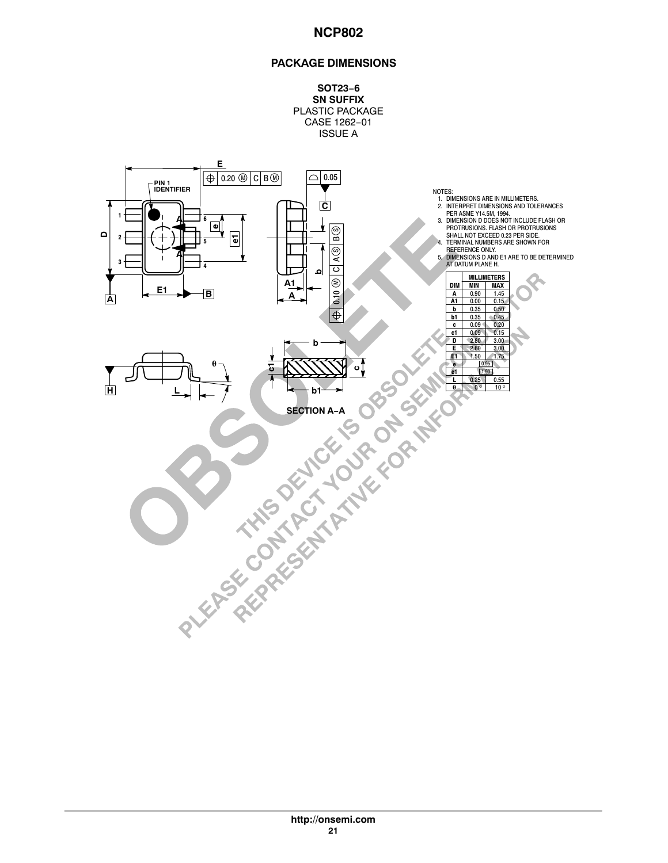### **PACKAGE DIMENSIONS**